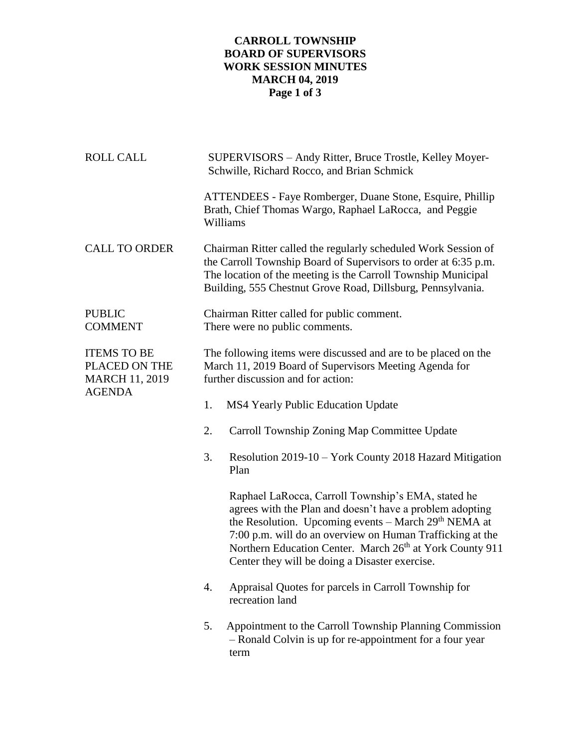## **CARROLL TOWNSHIP BOARD OF SUPERVISORS WORK SESSION MINUTES MARCH 04, 2019 Page 1 of 3**

| <b>ROLL CALL</b>                                                              | SUPERVISORS - Andy Ritter, Bruce Trostle, Kelley Moyer-<br>Schwille, Richard Rocco, and Brian Schmick                                                                                                                                                                                                                                                         |  |  |  |
|-------------------------------------------------------------------------------|---------------------------------------------------------------------------------------------------------------------------------------------------------------------------------------------------------------------------------------------------------------------------------------------------------------------------------------------------------------|--|--|--|
|                                                                               | ATTENDEES - Faye Romberger, Duane Stone, Esquire, Phillip<br>Brath, Chief Thomas Wargo, Raphael LaRocca, and Peggie<br>Williams                                                                                                                                                                                                                               |  |  |  |
| <b>CALL TO ORDER</b>                                                          | Chairman Ritter called the regularly scheduled Work Session of<br>the Carroll Township Board of Supervisors to order at 6:35 p.m.<br>The location of the meeting is the Carroll Township Municipal<br>Building, 555 Chestnut Grove Road, Dillsburg, Pennsylvania.                                                                                             |  |  |  |
| <b>PUBLIC</b><br><b>COMMENT</b>                                               | Chairman Ritter called for public comment.<br>There were no public comments.                                                                                                                                                                                                                                                                                  |  |  |  |
| <b>ITEMS TO BE</b><br>PLACED ON THE<br><b>MARCH 11, 2019</b><br><b>AGENDA</b> | The following items were discussed and are to be placed on the<br>March 11, 2019 Board of Supervisors Meeting Agenda for<br>further discussion and for action:                                                                                                                                                                                                |  |  |  |
|                                                                               | MS4 Yearly Public Education Update<br>1.                                                                                                                                                                                                                                                                                                                      |  |  |  |
|                                                                               | Carroll Township Zoning Map Committee Update<br>2.                                                                                                                                                                                                                                                                                                            |  |  |  |
|                                                                               | 3.<br>Resolution 2019-10 – York County 2018 Hazard Mitigation<br>Plan                                                                                                                                                                                                                                                                                         |  |  |  |
|                                                                               | Raphael LaRocca, Carroll Township's EMA, stated he<br>agrees with the Plan and doesn't have a problem adopting<br>the Resolution. Upcoming events – March 29 <sup>th</sup> NEMA at<br>7:00 p.m. will do an overview on Human Trafficking at the<br>Northern Education Center. March 26th at York County 911<br>Center they will be doing a Disaster exercise. |  |  |  |
|                                                                               | Appraisal Quotes for parcels in Carroll Township for<br>4.<br>recreation land                                                                                                                                                                                                                                                                                 |  |  |  |
|                                                                               | Appointment to the Carroll Township Planning Commission<br>5.<br>- Ronald Colvin is up for re-appointment for a four year<br>term                                                                                                                                                                                                                             |  |  |  |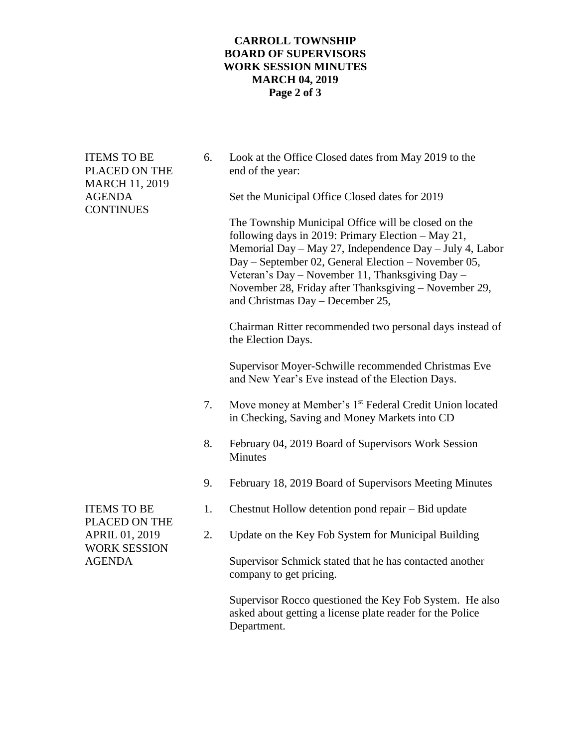## **CARROLL TOWNSHIP BOARD OF SUPERVISORS WORK SESSION MINUTES MARCH 04, 2019 Page 2 of 3**

| <b>ITEMS TO BE</b><br>PLACED ON THE<br><b>MARCH 11, 2019</b><br><b>AGENDA</b><br><b>CONTINUES</b>    | 6. | Look at the Office Closed dates from May 2019 to the<br>end of the year:                                                                                                                                                                                                                                                                                                    |
|------------------------------------------------------------------------------------------------------|----|-----------------------------------------------------------------------------------------------------------------------------------------------------------------------------------------------------------------------------------------------------------------------------------------------------------------------------------------------------------------------------|
|                                                                                                      |    | Set the Municipal Office Closed dates for 2019                                                                                                                                                                                                                                                                                                                              |
|                                                                                                      |    | The Township Municipal Office will be closed on the<br>following days in 2019: Primary Election - May 21,<br>Memorial Day - May 27, Independence Day - July 4, Labor<br>Day - September 02, General Election - November 05,<br>Veteran's Day - November 11, Thanksgiving Day -<br>November 28, Friday after Thanksgiving - November 29,<br>and Christmas Day - December 25, |
|                                                                                                      |    | Chairman Ritter recommended two personal days instead of<br>the Election Days.                                                                                                                                                                                                                                                                                              |
|                                                                                                      |    | Supervisor Moyer-Schwille recommended Christmas Eve<br>and New Year's Eve instead of the Election Days.                                                                                                                                                                                                                                                                     |
|                                                                                                      | 7. | Move money at Member's 1 <sup>st</sup> Federal Credit Union located<br>in Checking, Saving and Money Markets into CD                                                                                                                                                                                                                                                        |
|                                                                                                      | 8. | February 04, 2019 Board of Supervisors Work Session<br><b>Minutes</b>                                                                                                                                                                                                                                                                                                       |
|                                                                                                      | 9. | February 18, 2019 Board of Supervisors Meeting Minutes                                                                                                                                                                                                                                                                                                                      |
| <b>ITEMS TO BE</b><br>PLACED ON THE<br><b>APRIL 01, 2019</b><br><b>WORK SESSION</b><br><b>AGENDA</b> | 1. | Chestnut Hollow detention pond repair – Bid update                                                                                                                                                                                                                                                                                                                          |
|                                                                                                      | 2. | Update on the Key Fob System for Municipal Building                                                                                                                                                                                                                                                                                                                         |
|                                                                                                      |    | Supervisor Schmick stated that he has contacted another<br>company to get pricing.                                                                                                                                                                                                                                                                                          |
|                                                                                                      |    | Supervisor Rocco questioned the Key Fob System. He also<br>asked about getting a license plate reader for the Police<br>Department.                                                                                                                                                                                                                                         |